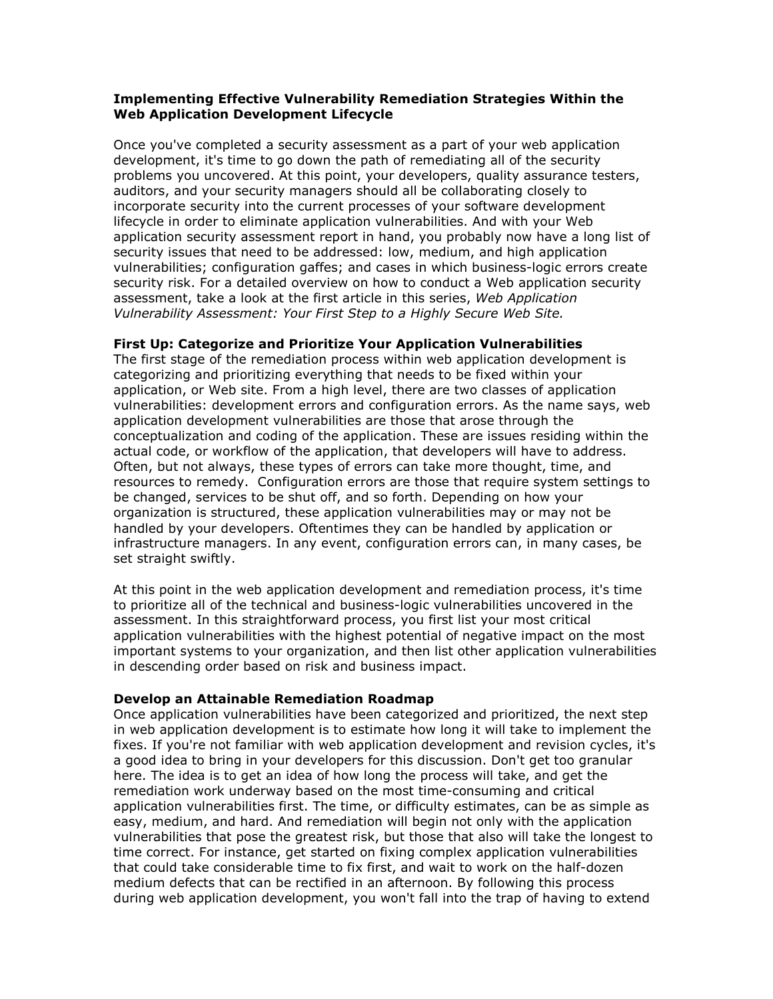# Implementing Effective Vulnerability Remediation Strategies Within the Web Application Development Lifecycle

Once you've completed a security assessment as a part of your web application development, it's time to go down the path of remediating all of the security problems you uncovered. At this point, your developers, quality assurance testers, auditors, and your security managers should all be collaborating closely to incorporate security into the current processes of your software development lifecycle in order to eliminate application vulnerabilities. And with your Web application security assessment report in hand, you probably now have a long list of security issues that need to be addressed: low, medium, and high application vulnerabilities; configuration gaffes; and cases in which business-logic errors create security risk. For a detailed overview on how to conduct a Web application security assessment, take a look at the first article in this series, Web Application Vulnerability Assessment: Your First Step to a Highly Secure Web Site.

# First Up: Categorize and Prioritize Your Application Vulnerabilities

The first stage of the remediation process within web application development is categorizing and prioritizing everything that needs to be fixed within your application, or Web site. From a high level, there are two classes of application vulnerabilities: development errors and configuration errors. As the name says, web application development vulnerabilities are those that arose through the conceptualization and coding of the application. These are issues residing within the actual code, or workflow of the application, that developers will have to address. Often, but not always, these types of errors can take more thought, time, and resources to remedy. Configuration errors are those that require system settings to be changed, services to be shut off, and so forth. Depending on how your organization is structured, these application vulnerabilities may or may not be handled by your developers. Oftentimes they can be handled by application or infrastructure managers. In any event, configuration errors can, in many cases, be set straight swiftly.

At this point in the web application development and remediation process, it's time to prioritize all of the technical and business-logic vulnerabilities uncovered in the assessment. In this straightforward process, you first list your most critical application vulnerabilities with the highest potential of negative impact on the most important systems to your organization, and then list other application vulnerabilities in descending order based on risk and business impact.

# Develop an Attainable Remediation Roadmap

Once application vulnerabilities have been categorized and prioritized, the next step in web application development is to estimate how long it will take to implement the fixes. If you're not familiar with web application development and revision cycles, it's a good idea to bring in your developers for this discussion. Don't get too granular here. The idea is to get an idea of how long the process will take, and get the remediation work underway based on the most time-consuming and critical application vulnerabilities first. The time, or difficulty estimates, can be as simple as easy, medium, and hard. And remediation will begin not only with the application vulnerabilities that pose the greatest risk, but those that also will take the longest to time correct. For instance, get started on fixing complex application vulnerabilities that could take considerable time to fix first, and wait to work on the half-dozen medium defects that can be rectified in an afternoon. By following this process during web application development, you won't fall into the trap of having to extend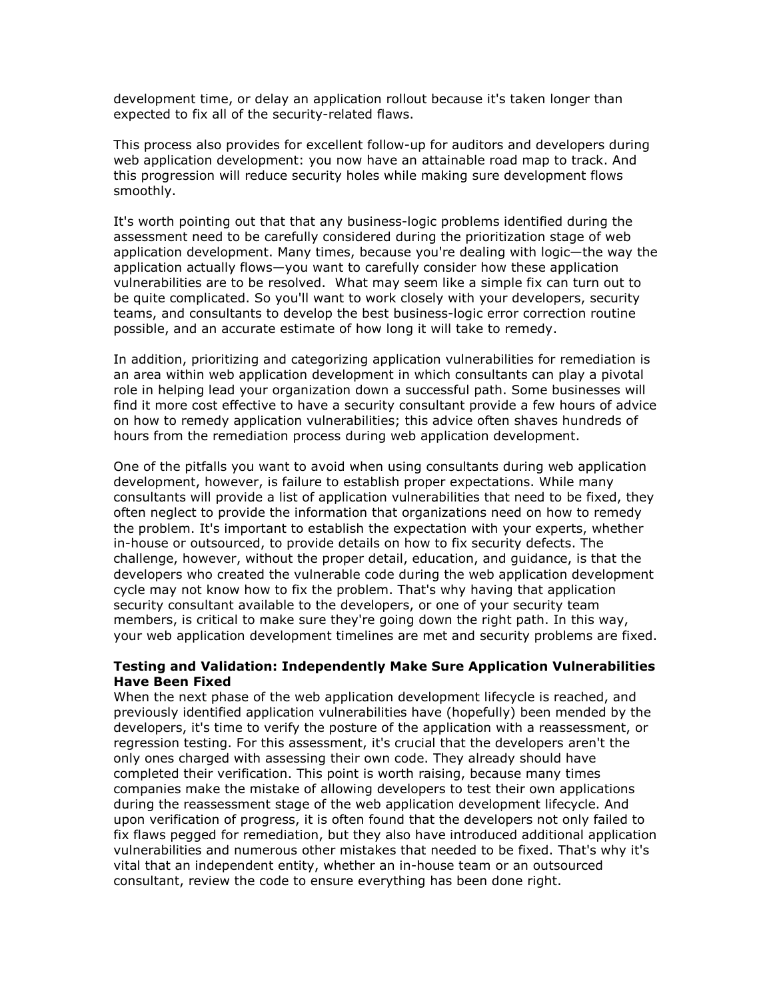development time, or delay an application rollout because it's taken longer than expected to fix all of the security-related flaws.

This process also provides for excellent follow-up for auditors and developers during web application development: you now have an attainable road map to track. And this progression will reduce security holes while making sure development flows smoothly.

It's worth pointing out that that any business-logic problems identified during the assessment need to be carefully considered during the prioritization stage of web application development. Many times, because you're dealing with logic—the way the application actually flows—you want to carefully consider how these application vulnerabilities are to be resolved. What may seem like a simple fix can turn out to be quite complicated. So you'll want to work closely with your developers, security teams, and consultants to develop the best business-logic error correction routine possible, and an accurate estimate of how long it will take to remedy.

In addition, prioritizing and categorizing application vulnerabilities for remediation is an area within web application development in which consultants can play a pivotal role in helping lead your organization down a successful path. Some businesses will find it more cost effective to have a security consultant provide a few hours of advice on how to remedy application vulnerabilities; this advice often shaves hundreds of hours from the remediation process during web application development.

One of the pitfalls you want to avoid when using consultants during web application development, however, is failure to establish proper expectations. While many consultants will provide a list of application vulnerabilities that need to be fixed, they often neglect to provide the information that organizations need on how to remedy the problem. It's important to establish the expectation with your experts, whether in-house or outsourced, to provide details on how to fix security defects. The challenge, however, without the proper detail, education, and guidance, is that the developers who created the vulnerable code during the web application development cycle may not know how to fix the problem. That's why having that application security consultant available to the developers, or one of your security team members, is critical to make sure they're going down the right path. In this way, your web application development timelines are met and security problems are fixed.

### Testing and Validation: Independently Make Sure Application Vulnerabilities Have Been Fixed

When the next phase of the web application development lifecycle is reached, and previously identified application vulnerabilities have (hopefully) been mended by the developers, it's time to verify the posture of the application with a reassessment, or regression testing. For this assessment, it's crucial that the developers aren't the only ones charged with assessing their own code. They already should have completed their verification. This point is worth raising, because many times companies make the mistake of allowing developers to test their own applications during the reassessment stage of the web application development lifecycle. And upon verification of progress, it is often found that the developers not only failed to fix flaws pegged for remediation, but they also have introduced additional application vulnerabilities and numerous other mistakes that needed to be fixed. That's why it's vital that an independent entity, whether an in-house team or an outsourced consultant, review the code to ensure everything has been done right.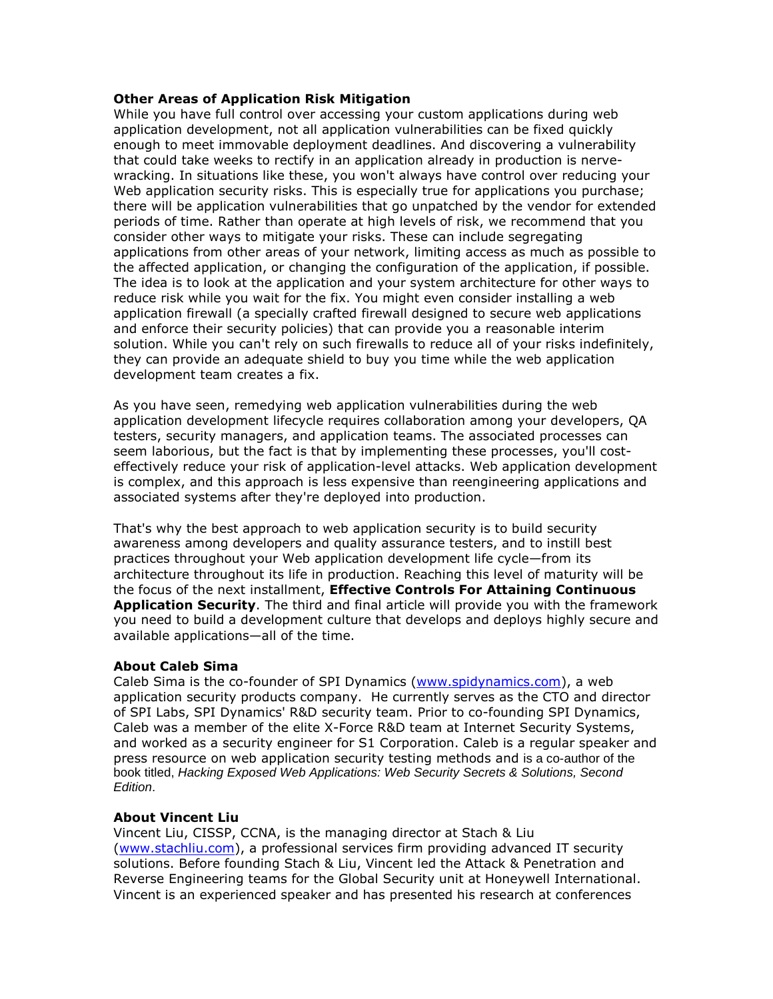### Other Areas of Application Risk Mitigation

While you have full control over accessing your custom applications during web application development, not all application vulnerabilities can be fixed quickly enough to meet immovable deployment deadlines. And discovering a vulnerability that could take weeks to rectify in an application already in production is nervewracking. In situations like these, you won't always have control over reducing your Web application security risks. This is especially true for applications you purchase; there will be application vulnerabilities that go unpatched by the vendor for extended periods of time. Rather than operate at high levels of risk, we recommend that you consider other ways to mitigate your risks. These can include segregating applications from other areas of your network, limiting access as much as possible to the affected application, or changing the configuration of the application, if possible. The idea is to look at the application and your system architecture for other ways to reduce risk while you wait for the fix. You might even consider installing a web application firewall (a specially crafted firewall designed to secure web applications and enforce their security policies) that can provide you a reasonable interim solution. While you can't rely on such firewalls to reduce all of your risks indefinitely, they can provide an adequate shield to buy you time while the web application development team creates a fix.

As you have seen, remedying web application vulnerabilities during the web application development lifecycle requires collaboration among your developers, QA testers, security managers, and application teams. The associated processes can seem laborious, but the fact is that by implementing these processes, you'll costeffectively reduce your risk of application-level attacks. Web application development is complex, and this approach is less expensive than reengineering applications and associated systems after they're deployed into production.

That's why the best approach to web application security is to build security awareness among developers and quality assurance testers, and to instill best practices throughout your Web application development life cycle—from its architecture throughout its life in production. Reaching this level of maturity will be the focus of the next installment, Effective Controls For Attaining Continuous Application Security. The third and final article will provide you with the framework you need to build a development culture that develops and deploys highly secure and available applications—all of the time.

#### About Caleb Sima

Caleb Sima is the co-founder of SPI Dynamics (www.spidynamics.com), a web application security products company. He currently serves as the CTO and director of SPI Labs, SPI Dynamics' R&D security team. Prior to co-founding SPI Dynamics, Caleb was a member of the elite X-Force R&D team at Internet Security Systems, and worked as a security engineer for S1 Corporation. Caleb is a regular speaker and press resource on web application security testing methods and is a co-author of the book titled, Hacking Exposed Web Applications: Web Security Secrets & Solutions, Second Edition.

# About Vincent Liu

Vincent Liu, CISSP, CCNA, is the managing director at Stach & Liu (www.stachliu.com), a professional services firm providing advanced IT security solutions. Before founding Stach & Liu, Vincent led the Attack & Penetration and Reverse Engineering teams for the Global Security unit at Honeywell International. Vincent is an experienced speaker and has presented his research at conferences